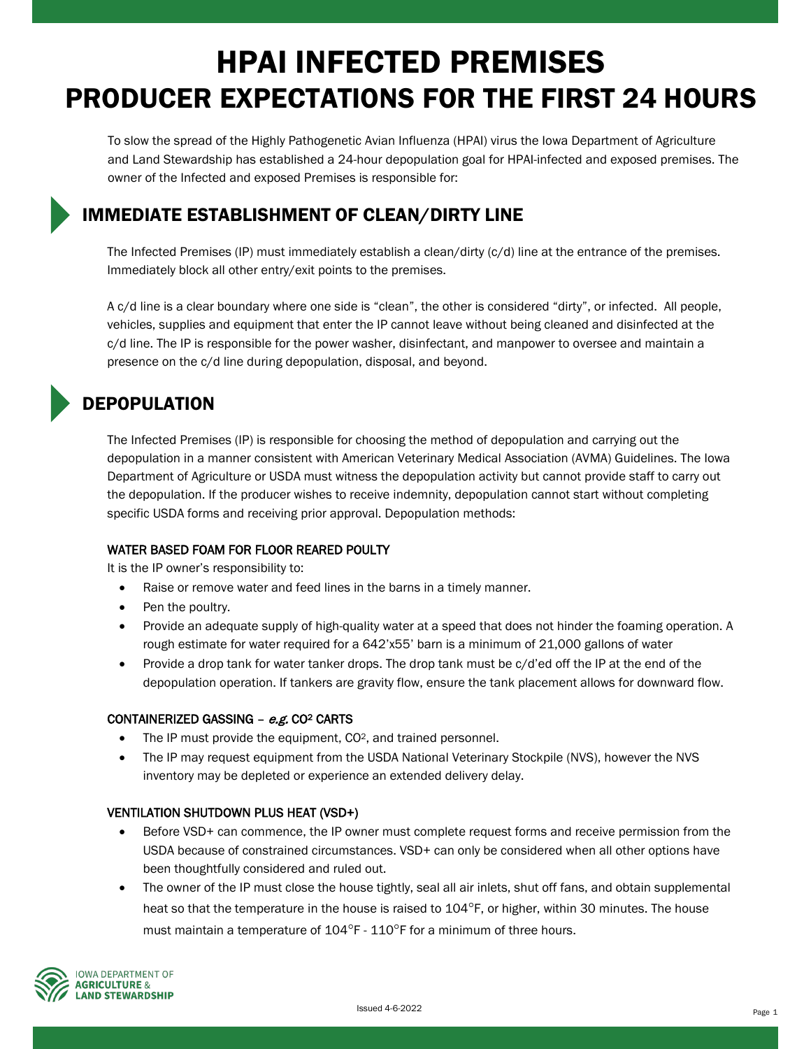# HPAI INFECTED PREMISES PRODUCER EXPECTATIONS FOR THE FIRST 24 HOURS

To slow the spread of the Highly Pathogenetic Avian Influenza (HPAI) virus the Iowa Department of Agriculture and Land Stewardship has established a 24-hour depopulation goal for HPAI-infected and exposed premises. The owner of the Infected and exposed Premises is responsible for:

### IMMEDIATE ESTABLISHMENT OF CLEAN/DIRTY LINE

The Infected Premises (IP) must immediately establish a clean/dirty (c/d) line at the entrance of the premises. Immediately block all other entry/exit points to the premises.

A c/d line is a clear boundary where one side is "clean", the other is considered "dirty", or infected. All people, vehicles, supplies and equipment that enter the IP cannot leave without being cleaned and disinfected at the c/d line. The IP is responsible for the power washer, disinfectant, and manpower to oversee and maintain a presence on the c/d line during depopulation, disposal, and beyond.

## DEPOPULATION

The Infected Premises (IP) is responsible for choosing the method of depopulation and carrying out the depopulation in a manner consistent with American Veterinary Medical Association (AVMA) Guidelines. The Iowa Department of Agriculture or USDA must witness the depopulation activity but cannot provide staff to carry out the depopulation. If the producer wishes to receive indemnity, depopulation cannot start without completing specific USDA forms and receiving prior approval. Depopulation methods:

### WATER BASED FOAM FOR FLOOR REARED POULTY

It is the IP owner's responsibility to:

- Raise or remove water and feed lines in the barns in a timely manner.
- Pen the poultry.
- Provide an adequate supply of high-quality water at a speed that does not hinder the foaming operation. A rough estimate for water required for a 642'x55' barn is a minimum of 21,000 gallons of water
- Provide a drop tank for water tanker drops. The drop tank must be c/d'ed off the IP at the end of the depopulation operation. If tankers are gravity flow, ensure the tank placement allows for downward flow.

### CONTAINERIZED GASSING – e.g. CO2 CARTS

- The IP must provide the equipment, CO<sup>2</sup>, and trained personnel.
- The IP may request equipment from the USDA National Veterinary Stockpile (NVS), however the NVS inventory may be depleted or experience an extended delivery delay.

### VENTILATION SHUTDOWN PLUS HEAT (VSD+)

- Before VSD+ can commence, the IP owner must complete request forms and receive permission from the USDA because of constrained circumstances. VSD+ can only be considered when all other options have been thoughtfully considered and ruled out.
- The owner of the IP must close the house tightly, seal all air inlets, shut off fans, and obtain supplemental heat so that the temperature in the house is raised to 104<sup>o</sup>F, or higher, within 30 minutes. The house must maintain a temperature of  $104^{\circ}$ F -  $110^{\circ}$ F for a minimum of three hours.